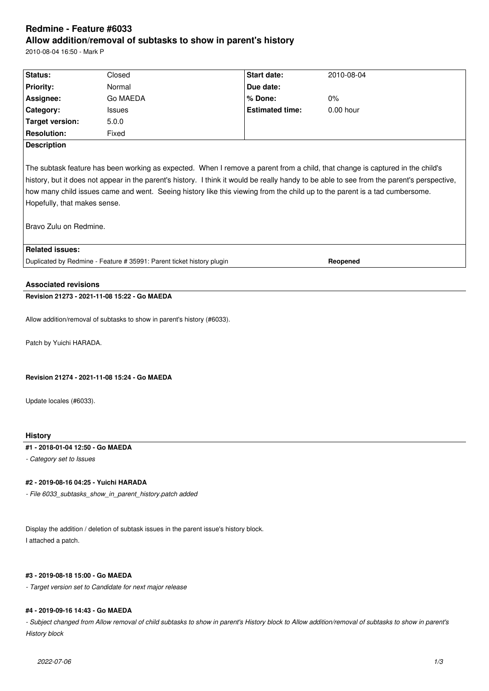# **Redmine - Feature #6033 Allow addition/removal of subtasks to show in parent's history**

2010-08-04 16:50 - Mark P

| Status:                                                                                                                                                                                                                                                                                                                                                                                                                                                             | Closed        | Start date:            | 2010-08-04  |  |  |
|---------------------------------------------------------------------------------------------------------------------------------------------------------------------------------------------------------------------------------------------------------------------------------------------------------------------------------------------------------------------------------------------------------------------------------------------------------------------|---------------|------------------------|-------------|--|--|
| <b>Priority:</b>                                                                                                                                                                                                                                                                                                                                                                                                                                                    | Normal        | Due date:              |             |  |  |
| Assignee:                                                                                                                                                                                                                                                                                                                                                                                                                                                           | Go MAEDA      | % Done:                | $0\%$       |  |  |
| Category:                                                                                                                                                                                                                                                                                                                                                                                                                                                           | <b>Issues</b> | <b>Estimated time:</b> | $0.00$ hour |  |  |
| <b>Target version:</b>                                                                                                                                                                                                                                                                                                                                                                                                                                              | 5.0.0         |                        |             |  |  |
| <b>Resolution:</b>                                                                                                                                                                                                                                                                                                                                                                                                                                                  | Fixed         |                        |             |  |  |
| <b>Description</b>                                                                                                                                                                                                                                                                                                                                                                                                                                                  |               |                        |             |  |  |
| The subtask feature has been working as expected. When I remove a parent from a child, that change is captured in the child's<br>history, but it does not appear in the parent's history. I think it would be really handy to be able to see from the parent's perspective,<br>how many child issues came and went. Seeing history like this viewing from the child up to the parent is a tad cumbersome.<br>Hopefully, that makes sense.<br>Bravo Zulu on Redmine. |               |                        |             |  |  |
| <b>Related issues:</b>                                                                                                                                                                                                                                                                                                                                                                                                                                              |               |                        |             |  |  |
| Duplicated by Redmine - Feature # 35991: Parent ticket history plugin<br>Reopened                                                                                                                                                                                                                                                                                                                                                                                   |               |                        |             |  |  |
| <b>Associated revisions</b>                                                                                                                                                                                                                                                                                                                                                                                                                                         |               |                        |             |  |  |
| Revision 21273 - 2021-11-08 15:22 - Go MAEDA                                                                                                                                                                                                                                                                                                                                                                                                                        |               |                        |             |  |  |
| Allow addition/removal of subtasks to show in parent's history (#6033).                                                                                                                                                                                                                                                                                                                                                                                             |               |                        |             |  |  |

Patch by Yuichi HARADA.

## **Revision 21274 - 2021-11-08 15:24 - Go MAEDA**

Update locales (#6033).

## **History**

## **#1 - 2018-01-04 12:50 - Go MAEDA**

*- Category set to Issues*

## **#2 - 2019-08-16 04:25 - Yuichi HARADA**

*- File 6033\_subtasks\_show\_in\_parent\_history.patch added*

Display the addition / deletion of subtask issues in the parent issue's history block. I attached a patch.

## **#3 - 2019-08-18 15:00 - Go MAEDA**

*- Target version set to Candidate for next major release*

## **#4 - 2019-09-16 14:43 - Go MAEDA**

- Subject changed from Allow removal of child subtasks to show in parent's History block to Allow addition/removal of subtasks to show in parent's *History block*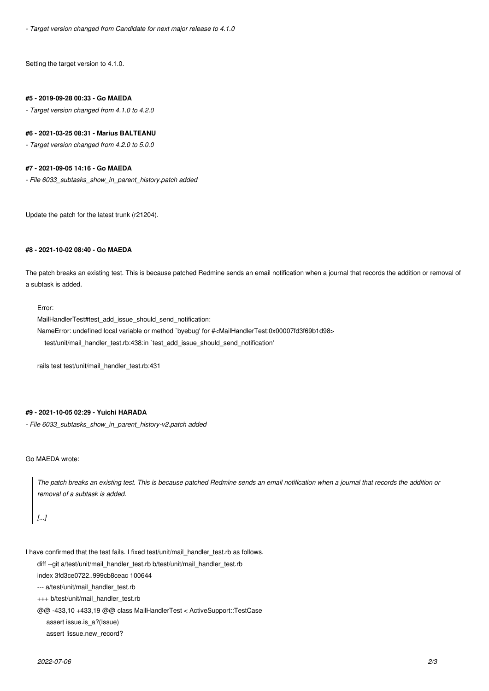*- Target version changed from Candidate for next major release to 4.1.0*

Setting the target version to 4.1.0.

#### **#5 - 2019-09-28 00:33 - Go MAEDA**

*- Target version changed from 4.1.0 to 4.2.0*

#### **#6 - 2021-03-25 08:31 - Marius BALTEANU**

*- Target version changed from 4.2.0 to 5.0.0*

#### **#7 - 2021-09-05 14:16 - Go MAEDA**

*- File 6033\_subtasks\_show\_in\_parent\_history.patch added*

Update the patch for the latest trunk (r21204).

## **#8 - 2021-10-02 08:40 - Go MAEDA**

The patch breaks an existing test. This is because patched Redmine sends an email notification when a journal that records the addition or removal of a subtask is added.

#### Error:

MailHandlerTest#test\_add\_issue\_should\_send\_notification:

NameError: undefined local variable or method `byebug' for #<MailHandlerTest:0x00007fd3f69b1d98>

test/unit/mail\_handler\_test.rb:438:in `test\_add\_issue\_should\_send\_notification'

rails test test/unit/mail\_handler\_test.rb:431

## **#9 - 2021-10-05 02:29 - Yuichi HARADA**

*- File 6033\_subtasks\_show\_in\_parent\_history-v2.patch added*

## Go MAEDA wrote:

*The patch breaks an existing test. This is because patched Redmine sends an email notification when a journal that records the addition or removal of a subtask is added.*

```
[...]
```
I have confirmed that the test fails. I fixed test/unit/mail\_handler\_test.rb as follows.

diff --git a/test/unit/mail\_handler\_test.rb b/test/unit/mail\_handler\_test.rb

index 3fd3ce0722..999cb8ceac 100644

--- a/test/unit/mail\_handler\_test.rb

+++ b/test/unit/mail\_handler\_test.rb

@@ -433,10 +433,19 @@ class MailHandlerTest < ActiveSupport::TestCase

assert issue.is\_a?(Issue)

assert !issue.new\_record?